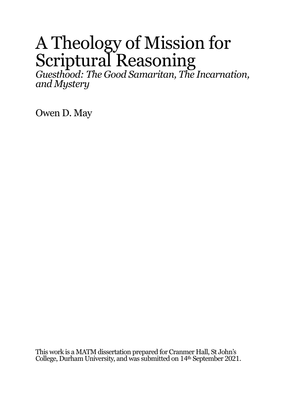# A Theology of Mission for Scriptural Reasoning

*Guesthood: The Good Samaritan, The Incarnation, and Mystery*

Owen D. May

This work is a MATM dissertation prepared for Cranmer Hall, St John's College, Durham University, and was submitted on 14<sup>th</sup> September 2021.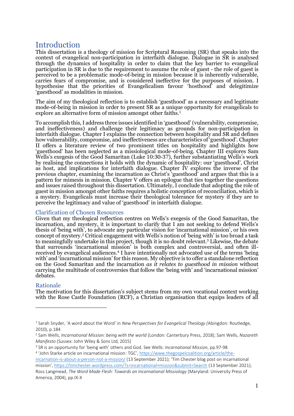# Introduction

This dissertation is a theology of mission for Scriptural Reasoning (SR) that speaks into the context of evangelical non-participation in interfaith dialogue. Dialogue in SR is analysed through the dynamics of hospitality in order to claim that the key barrier to evangelical participation in SR is due to the requirement to assume the role of guest - the role of guest is perceived to be a problematic mode-of-being in mission because it is inherently vulnerable, carries fears of compromise, and is considered ineffective for the purposes of mission. I hypothesise that the priorities of Evangelicalism favour 'hosthood' and delegitimize 'guesthood' as modalities in mission.

The aim of my theological reflection is to establish 'guesthood' as a necessary and legitimate mode-of-being in mission in order to present SR as a unique opportunity for evangelicals to explore an alternative form of mission amongst other faiths.<sup>1</sup>

To accomplish this, I address three issues identified in 'guesthood' (vulnerability, compromise, and ineffectiveness) and challenge their legitimacy as grounds for non-participation in interfaith dialogue. Chapter I explains the connection between hospitality and SR and defines how vulnerability, compromise, and ineffectiveness are characteristics of 'guesthood'. Chapter II offers a literature review of two prominent titles on hospitality and highlights how 'guesthood' has been neglected as a missiological mode-of-being. Chapter III explores Sam Wells's exegesis of the Good Samaritan (Luke 10:30-37), further substantiating Wells's work by realising the connections it holds with the dynamic of hospitality: our 'guesthood', Christ as host, and implications for interfaith dialogue. Chapter IV explores the inverse of the previous chapter, examining the incarnation as Christ's 'guesthood' and argues that this is a pattern for mimesis in mission. Chapter V offers an epilogue that ties together the questions and issues raised throughout this dissertation. Ultimately, I conclude that adopting the role of guest in mission amongst other faiths requires a holistic conception of reconciliation, which is a mystery. Evangelicals must increase their theological tolerance for mystery if they are to perceive the legitimacy and value of 'guesthood' in interfaith dialogue.

### Clarification of Chosen Resources

Given that my theological reflection centres on Wells's exegesis of the Good Samaritan, the incarnation, and mystery, it is important to clarify that I am not seeking to defend Wells's thesis of 'being with', to advocate any particular vision for 'incarnational mission', or his own concept of mystery. <sup>2</sup> Critical engagement with Wells's notion of 'being with' is too broad a task to meaningfully undertake in this project, though it is no doubt relevant. <sup>3</sup> Likewise, the debate that surrounds 'incarnational mission' is both complex and controversial, and often illreceived by evangelical audiences.<sup>4</sup> I have intentionally not advocated use of the terms 'being with' and 'incarnational mission' for this reason. My objective is to offer a standalone reflection on the Good Samaritan and the incarnation *as it relates to guesthood in mission* without carrying the multitude of controversies that follow the 'being with' and 'incarnational mission' debates.

### Rationale

The motivation for this dissertation's subject stems from my own vocational context working with the Rose Castle Foundation (RCF), a Christian organisation that equips leaders of all

<sup>3</sup> SR is an opportunity for 'being with' others and God. See Wells: *Incarnational Mission*, pp.97-98

<sup>1</sup> Sarah Snyder, 'A word about the Word' in *New Perspectives for Evangelical Theology (*Abingdon: Routledge, 2010), p.184

<sup>2</sup> Sam Wells, *Incarnational Mission: being with the world* (London: Canterbury Press, 2018); Sam Wells, *Nazareth Manifesto* (Sussex: John Wiley & Sons Ltd, 2015)

<sup>4</sup> 'John Starke article on incarnational mission: TGC', [https://www.thegospelcoalition.org/article/the](https://www.thegospelcoalition.org/article/the-incarnation-is-about-a-person-not-a-mission/)[incarnation-is-about-a-person-not-a-mission/](https://www.thegospelcoalition.org/article/the-incarnation-is-about-a-person-not-a-mission/) (13 September 2021); 'Tim Chester blog post on incarnational mission', <https://timchester.wordpress.com/?s=incarnational+mission&submit=Search> (13 September 2021);

Ross Langmead, *The Word Made Flesh: Towards an Incarnational Missiology* (Maryland: University Press of America, 2004), pp.IX-X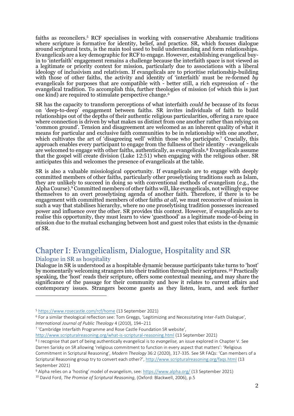faiths as reconcilers.<sup>5</sup> RCF specialises in working with conservative Abrahamic traditions where scripture is formative for identity, belief, and practice. SR, which focuses dialogue around scriptural texts, is the main tool used to build understanding and form relationships. Evangelicals are a key demographic for RCF to engage. However, establishing evangelical buyin to 'interfaith' engagement remains a challenge because the interfaith space is not viewed as a legitimate or priority context for mission, particularly due to associations with a liberal ideology of inclusivism and relativism. If evangelicals are to prioritise relationship-building with those of other faiths, the activity and identity of 'interfaith' must be re-formed *by* evangelicals for purposes that are compatible with - better still, a rich expression of - the evangelical tradition. To accomplish this, further theologies of mission (of which this is just one kind) are required to stimulate perspective change. 6

SR has the capacity to transform perceptions of what interfaith *could be* because of its focus on 'deep-to-deep' engagement between faiths. SR invites individuals of faith to build relationships out of the depths of their authentic religious particularities, offering a rare space where connection is driven by what makes us distinct from one another rather than relying on 'common ground'. Tension and disagreement are welcomed as an inherent quality of what it means for particular and exclusive faith communities to be in relationship with one another, which cultivates the art of 'disagreeing well' within those who participate.<sup>7</sup> Crucially, this approach enables every participant to engage from the fullness of their identity - evangelicals are welcomed to engage with other faiths, authentically, as evangelicals.<sup>8</sup> Evangelicals assume that the gospel will create division (Luke 12:51) when engaging with the religious other. SR anticipates this and welcomes the presence of evangelicals at the table.

SR is also a valuable missiological opportunity. If evangelicals are to engage with deeply committed members of other faiths, particularly other proselytising traditions such as Islam, they are unlikely to succeed in doing so with conventional methods of evangelism (e.g., the Alpha Course).<sup>9</sup> Committed members of other faiths will, like evangelicals, not willingly expose themselves to an overt proselytising agenda of another faith. Therefore, if there is to be engagement with committed members of other faiths *at all*, we must reconceive of mission in such a way that stabilises hierarchy, where no one proselytising tradition possesses increased power and influence over the other. SR provides this context. However, if evangelicals are to realise this opportunity, they must learn to view 'guesthood' as a legitimate mode-of-being in mission due to the mutual exchanging between host and guest roles that exists in the dynamic of SR.

# Chapter I: Evangelicalism, Dialogue, Hospitality and SR Dialogue in SR as hospitality

Dialogue in SR is understood as a hospitable dynamic because participants take turns to 'host' by momentarily welcoming strangers into their tradition through their scriptures.<sup>10</sup> Practically speaking, the 'host' reads their scripture, offers some contextual meaning, and may share the significance of the passage for their community and how it relates to current affairs and contemporary issues. Strangers become guests as they listen, learn, and seek further

<sup>7</sup> 'Cambridge Interfaith Programme and Rose Castle Foundation SR website',

<http://www.scripturalreasoning.org/what-is-scriptural-reasoning.html> (13 September 2021)

<sup>5</sup> <https://www.rosecastle.com/rcf/home> (13 September 2021)

<sup>6</sup> For a similar theological reflection see: Tom Greggs, 'Legitimizing and Necessitating Inter-Faith Dialogue', *International Journal of Public Theology* 4 (2010), 194–211

<sup>8</sup> I recognise that part of being authentically evangelical is to *evangelise,* an issue explored in Chapter V. See Darren Sarisky on SR allowing 'religious commitment to function in every aspect that matters': 'Religious Commitment in Scriptural Reasoning', *Modern Theology* 36:2 (2020), 317-335. See SR FAQs: 'Can members of a Scriptural Reasoning group try to convert each other?'[, http://www.scripturalreasoning.org/faqs.html](http://www.scripturalreasoning.org/faqs.html%20(13) (13 September 2021)

<sup>&</sup>lt;sup>9</sup> Alpha relies on a 'hosting' model of evangelism, see[: https://www.alpha.org/](https://www.alpha.org/) (13 September 2021)

<sup>10</sup> David Ford, *The Promise of Scriptural Reasoning*, (Oxford: Blackwell, 2006), p.5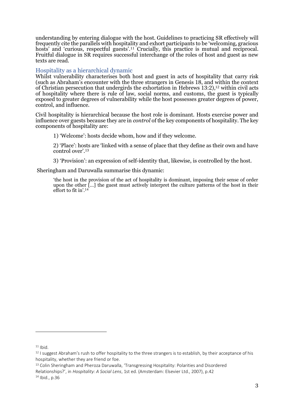understanding by entering dialogue with the host. Guidelines to practicing SR effectively will frequently cite the parallels with hospitality and exhort participants to be 'welcoming, gracious hosts' and 'curious, respectful guests'.<sup>11</sup> Crucially, this practice is mutual and reciprocal. Fruitful dialogue in SR requires successful interchange of the roles of host and guest as new texts are read.

### Hospitality as a hierarchical dynamic

Whilst vulnerability characterises both host and guest in acts of hospitality that carry risk (such as Abraham's encounter with the three strangers in Genesis 18, and within the context of Christian persecution that undergirds the exhortation in Hebrews 13:2), <sup>12</sup> within civil acts of hospitality where there is rule of law, social norms, and customs, the guest is typically exposed to greater degrees of vulnerability while the host possesses greater degrees of power, control, and influence.

Civil hospitality is hierarchical because the host role is dominant. Hosts exercise power and influence over guests because they are in *control* of the key components of hospitality. The key components of hospitality are:

1) 'Welcome': hosts decide whom, how and if they welcome.

2) 'Place': hosts are 'linked with a sense of place that they define as their own and have control over'.<sup>13</sup>

3) 'Provision': an expression of self-identity that, likewise, is controlled by the host.

Sheringham and Daruwalla summarise this dynamic:

'the host in the provision of the act of hospitality is dominant, imposing their sense of order upon the other  $\left[\ldots\right]$  the guest must actively interpret the culture patterns of the host in their effort to fit in'.<sup>14</sup>

 $11$  Ihid.

<sup>13</sup> Colin Sheringham and Pheroza Daruwalla, 'Transgressing Hospitality: Polarities and Disordered Relationships?', in *Hospitality: A Social Lens*, 1st ed. (Amsterdam: Elsevier Ltd., 2007), p.42

 $14$  Ibid., p.36

 $12$  I suggest Abraham's rush to offer hospitality to the three strangers is to establish, by their acceptance of his hospitality, whether they are friend or foe.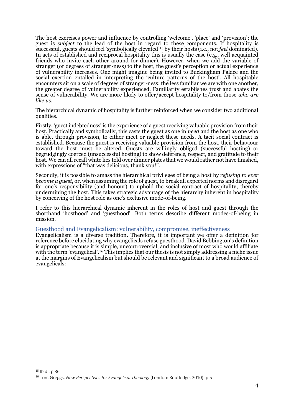The host exercises power and influence by controlling 'welcome', 'place' and 'provision'; the guest is *subject* to the lead of the host in regard to these components. If hospitality is successful, guests should feel 'symbolically elevated'<sup>15</sup> by their hosts (i.e., not *feel* dominated). In acts of established and reciprocal hospitality this is usually the case (e.g., well acquainted friends who invite each other around for dinner). However, when we add the variable of stranger (or degrees of stranger-ness) to the host, the guest's perception or actual experience of vulnerability increases. One might imagine being invited to Buckingham Palace and the social exertion entailed in interpreting the 'culture patterns of the host'. All hospitable encounters sit on a scale of degrees of stranger-ness: the less familiar we are with one another, the greater degree of vulnerability experienced. Familiarity establishes trust and abates the sense of vulnerability. We are more likely to offer/accept hospitality to/from those *who are like us*.

The hierarchical dynamic of hospitality is further reinforced when we consider two additional qualities.

Firstly, 'guest indebtedness' is the experience of a guest receiving valuable provision from their host. Practically and symbolically, this casts the guest as one in *need* and the host as one who is able, through provision, to either meet or neglect these needs. A tacit social contract is established. Because the guest is receiving valuable provision from the host, their behaviour toward the host must be altered. Guests are willingly obliged (successful hosting) or begrudgingly coerced (unsuccessful hosting) to show deference, respect, and gratitude to their host. We can all recall white lies told over dinner plates that we would rather not have finished, with expressions of "that was delicious, thank you!".

Secondly, it is possible to amass the hierarchical privileges of being a host by *refusing to ever become a guest*, or, when assuming the role of guest, to break all expected norms and disregard for one's responsibility (and honour) to uphold the social contract of hospitality, thereby undermining the host. This takes strategic advantage of the hierarchy inherent in hospitality by conceiving of the host role as one's exclusive mode-of-being.

I refer to this hierarchical dynamic inherent in the roles of host and guest through the shorthand 'hosthood' and 'guesthood'. Both terms describe different modes-of-being in mission.

#### Guesthood and Evangelicalism: vulnerability, compromise, ineffectiveness

Evangelicalism is a diverse tradition. Therefore, it is important we offer a definition for reference before elucidating why evangelicals refuse guesthood. David Bebbington's definition is appropriate because it is simple, uncontroversial, and inclusive of most who would affiliate with the term 'evangelical'.<sup>16</sup> This implies that our thesis is not simply addressing a niche issue at the margins of Evangelicalism but should be relevant and significant to a broad audience of evangelicals:

 $15$  Ibid., p.36

<sup>16</sup> Tom Greggs, *New Perspectives for Evangelical Theology* (London: Routledge, 2010), p.5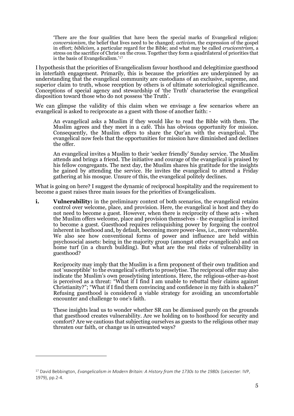'There are the four qualities that have been the special marks of Evangelical religion: *conversionism*, the belief that lives need to be changed; *activism*, the expression of the gospel in effort; *biblicism*, a particular regard for the Bible; and what may be called *crucicentrism*, a stress on the sacrifice of Christ on the cross. Together they form a quadrilateral of priorities that is the basis of Evangelicalism.'<sup>17</sup>

I hypothesis that the priorities of Evangelicalism favour hosthood and delegitimize guesthood in interfaith engagement. Primarily, this is because the priorities are underpinned by an understanding that the evangelical community are custodians of an exclusive, supreme, and superior claim to truth, whose reception by others is of ultimate soteriological significance. Conceptions of special agency and stewardship of 'the Truth' characterise the evangelical disposition toward those who do not possess 'the Truth'.

We can glimpse the validity of this claim when we envisage a few scenarios where an evangelical is asked to reciprocate as a guest with those of another faith: -

An evangelical asks a Muslim if they would like to read the Bible with them. The Muslim agrees and they meet in a café. This has obvious opportunity for mission. Consequently, the Muslim offers to share the Qur'an with the evangelical. The evangelical now feels that the opportunities for mission have diminished and declines the offer.

An evangelical invites a Muslim to their 'seeker friendly' Sunday service. The Muslim attends and brings a friend. The initiative and courage of the evangelical is praised by his fellow congregants. The next day, the Muslim shares his gratitude for the insights he gained by attending the service. He invites the evangelical to attend a Friday gathering at his mosque. Unsure of this, the evangelical politely declines.

What is going on here? I suggest the dynamic of reciprocal hospitality and the requirement to become a guest raises three main issues for the priorities of Evangelicalism.

**i. Vulnerability:** in the preliminary context of both scenarios, the evangelical retains control over welcome, place, and provision. Here, the evangelical is host and they do not need to become a guest. However, when there is reciprocity of these acts - when the Muslim offers welcome, place and provision themselves - the evangelical is invited to become a guest. Guesthood requires relinquishing power by forgoing the control inherent in hosthood and, by default, becoming more power-less, i.e., more vulnerable. We also see how conventional forms of power and influence are held within psychosocial assets: being in the majority group (amongst other evangelicals) and on home turf (in a church building). But what are the real risks of vulnerability in guesthood?

Reciprocity may imply that the Muslim is a firm proponent of their own tradition and not 'susceptible' to the evangelical's efforts to proselytise. The reciprocal offer may also indicate the Muslim's own proselytising intentions. Here, the religious-other-as-host is perceived as a threat: "What if I find I am unable to rebuttal their claims against Christianity?"; "What if I find them convincing and confidence in my faith is shaken?" Refusing guesthood is considered a viable strategy for avoiding an uncomfortable encounter and challenge to one's faith.

These insights lead us to wonder whether SR can be dismissed purely on the grounds that guesthood creates vulnerability. Are we holding on to hosthood for security and comfort? Are we cautious that subjecting ourselves as guests to the religious other may threaten our faith, or change us in unwanted ways?

<sup>17</sup> David Bebbington, *Evangelicalism in Modern Britain: A History from the 1730s to the 1980s* (Leicester: IVP, 1979), pp.2-4.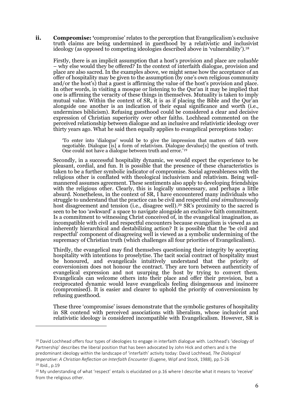**ii. Compromise: '**compromise' relates to the perception that Evangelicalism's exclusive truth claims are being undermined in guesthood by a relativistic and inclusivist ideology (as opposed to competing ideologies described above in 'vulnerability').<sup>18</sup>

Firstly, there is an implicit assumption that a host's provision and place are *valuable* – why else would they be offered? In the context of interfaith dialogue, provision and place are also sacred. In the examples above, we might sense how the acceptance of an offer of hospitality may be given to the assumption (by one's own religious community and/or the host's) that a guest is affirming the value of the host's provision and place. In other words, in visiting a mosque or listening to the Qur'an it may be implied that one is affirming the veracity of these things in themselves. Mutuality is taken to imply mutual value. Within the context of SR, it is as if placing the Bible and the Qur'an alongside one another is an indication of their equal significance and worth (i.e., undermines biblicism). Refusing guesthood could be considered a clear and decisive expression of Christian superiority over other faiths. Lochhead commented on the perceived relationship between dialogue and an inclusive and relativistic ideology over thirty years ago. What he said then equally applies to evangelical perceptions today:

'To enter into 'dialogue' would be to give the impression that matters of faith were negotiable. Dialogue [is] a form of relativism. Dialogue devalue[s] the question of truth. One could not have a dialogue between truth and error.'<sup>19</sup>

Secondly, in a successful hospitality dynamic, we would expect the experience to be pleasant, cordial, and fun. It is possible that the presence of these characteristics is taken to be a further symbolic indicator of compromise. Social agreeableness with the religious other is conflated with theological inclusivism and relativism. Being wellmannered assumes agreement. These sentiments also apply to developing friendships with the religious other. Clearly, this is logically unnecessary, and perhaps a little absurd. Nonetheless, in the context of SR, I have encountered many individuals who struggle to understand that the practice can be civil and respectful *and simultaneously* host disagreement and tension (i.e., disagree well). <sup>20</sup> SR's proximity to the sacred is seen to be too 'awkward' a space to navigate alongside an exclusive faith commitment. Is a commitment to witnessing Christ conceived of, in the evangelical imagination, as incompatible with civil and respectful encounters because evangelism is viewed as an inherently hierarchical and destabilizing action? It is possible that the 'be civil and respectful' component of disagreeing well is viewed as a symbolic undermining of the supremacy of Christian truth (which challenges all four priorities of Evangelicalism).

Thirdly, the evangelical may find themselves questioning their integrity by accepting hospitality with intentions to proselytise. The tacit social contract of hospitality must be honoured, and evangelicals intuitively understand that the priority of conversionism does not honour the contract. They are torn between authenticity of evangelical expression and not usurping the host by trying to convert them. Evangelicals can welcome others into their place and offer their provision, but a reciprocated dynamic would leave evangelicals feeling disingenuous and insincere (compromised). It is easier and clearer to uphold the priority of conversionism by refusing guesthood.

These three 'compromise' issues demonstrate that the symbolic gestures of hospitality in SR contend with perceived associations with liberalism, whose inclusivist and relativistic ideology is considered incompatible with Evangelicalism. However, SR is

<sup>&</sup>lt;sup>18</sup> David Lochhead offers four types of ideologies to engage in interfaith dialogue with. Lochhead's 'ideology of Partnership' describes the liberal position that has been advocated by John Hick and others and is the predominant ideology within the landscape of 'interfaith' activity today: David Lochhead, *The Dialogical Imperative: A Christian Reflection on Interfaith Encounter* (Eugene, Wipf and Stock, 1988), pp.5-26 <sup>19</sup> Ibid., p.19

<sup>&</sup>lt;sup>20</sup> My understanding of what 'respect' entails is elucidated on p.16 where I describe what it means to 'receive' from the religious other.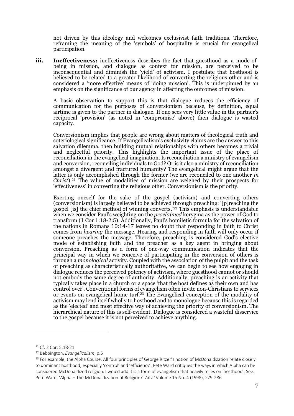not driven by this ideology and welcomes exclusivist faith traditions. Therefore, reframing the meaning of the 'symbols' of hospitality is crucial for evangelical participation.

**iii. Ineffectiveness:** ineffectiveness describes the fact that guesthood as a mode-ofbeing in mission, and dialogue as context for mission, are perceived to be inconsequential and diminish the 'yield' of activism. I postulate that hosthood is believed to be related to a greater likelihood of converting the religious other and is considered a 'more effective' means of 'doing mission'. This is underpinned by an emphasis on the significance of our agency in affecting the outcomes of mission.

A basic observation to support this is that dialogue reduces the efficiency of communication for the purposes of conversionism because, by definition, equal airtime is given to the partner in dialogue. If one sees very little value in the partner's reciprocal 'provision' (as noted in 'compromise' above) then dialogue is wasted capacity.

Conversionism implies that people are wrong about matters of theological truth and soteriological significance. If Evangelicalism's exclusivity claims are the answer to this salvation dilemma, then building mutual relationships with others becomes a trivial and neglectful priority. This highlights the important issue of the place of reconciliation in the evangelical imagination. Is reconciliation a ministry of evangelism and conversion, reconciling individuals to God? Or is it also a ministry of reconciliation amongst a divergent and fractured humanity? The evangelical might argue that the latter is only accomplished through the former (we are reconciled to one another *in Christ*).<sup>21</sup> The value of modalities of mission are weighed by their prospects for 'effectiveness' in converting the religious other. Conversionism is the priority.

Exerting oneself for the sake of the gospel (activism) and converting others (conversionism) is largely believed to be achieved through preaching: '[p]reaching the gospel [is] the chief method of winning converts.'<sup>22</sup> This emphasis is understandable when we consider Paul's weighting on the *proclaimed* kerygma as the power of God to transform (1 Cor 1:18-2:5). Additionally, Paul's homiletic formula for the salvation of the nations in Romans 10:14-17 leaves no doubt that responding in faith to Christ comes from *hearing* the message. Hearing and responding in faith will only occur if someone preaches the message. Therefore, preaching is considered God's elective mode of establishing faith and the preacher as a key agent in bringing about conversion. Preaching as a form of one-way communication indicates that the principal way in which we conceive of participating in the conversion of others is through a *monological* activity. Coupled with the association of the pulpit and the task of preaching as characteristically authoritative, we can begin to see how engaging in dialogue reduces the perceived potency of activism, where guesthood cannot or should not embody the same degree of authority. Additionally, preaching is an activity that typically takes place in a church or a space 'that the host defines as their own and has control over'. Conventional forms of evangelism often invite non-Christians to services or events on evangelical home turf. <sup>23</sup> The Evangelical conception of the modality of activism may lend itself wholly to hosthood and to monologue because this is regarded as the 'elected' and most effective way of achieving the priority of conversionism. The hierarchical nature of this is self-evident. Dialogue is considered a wasteful disservice to the gospel because it is not perceived to achieve anything.

<sup>21</sup> Cf. 2 Cor. 5:18-21

<sup>22</sup> Bebbington, *Evangelicalism*, p.5

<sup>&</sup>lt;sup>23</sup> For example, the Alpha Course. All four principles of George Ritzer's notion of McDonaldization relate closely to dominant hosthood, especially 'control' and 'efficiency'. Pete Ward critiques the ways in which Alpha can be considered McDonaldized religion. I would add it is a form of evangelism that heavily relies on 'hosthood'. See: Pete Ward, 'Alpha – The McDonaldization of Religion?' *Anvil* Volume 15 No. 4 (1998), 279-286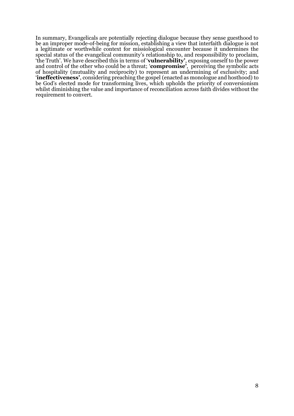In summary, Evangelicals are potentially rejecting dialogue because they sense guesthood to be an improper mode-of-being for mission, establishing a view that interfaith dialogue is not a legitimate or worthwhile context for missiological encounter because it undermines the special status of the evangelical community's relationship to, and responsibility to proclaim, 'the Truth'. We have described this in terms of '**vulnerability'**, exposing oneself to the power and control of the other who could be a threat; '**compromise'**, perceiving the symbolic acts of hospitality (mutuality and reciprocity) to represent an undermining of exclusivity; and '**ineffectiveness'**, considering preaching the gospel (enacted as monologue and hosthood) to be God's elected mode for transforming lives, which upholds the priority of conversionism whilst diminishing the value and importance of reconciliation across faith divides without the requirement to convert.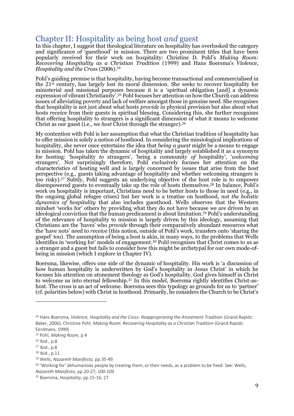# Chapter II: Hospitality as being host *and* guest

In this chapter, I suggest that theological literature on hospitality has overlooked the category and significance of 'guesthood' in mission. There are two prominent titles that have been popularly received for their work on hospitality: Christine D. Pohl's *Making Room: Recovering Hospitality as a Christian Tradition* (1999) and Hans Boersma's *Violence, Hospitality and the Cross* (2006).<sup>24</sup>

Pohl's guiding premise is that hospitality, having become transactional and commercialised in the 21st century, has largely lost its moral dimension. She seeks to recover hospitality for ministerial and missional purposes because it is a 'spiritual obligation [and] a dynamic expression of vibrant Christianity'.<sup>25</sup> Pohl focuses her attention on how the Church can address issues of alleviating poverty and lack of welfare amongst those in genuine need. She recognises that hospitality is not just about what hosts *provide* in physical provision but also about what hosts *receive* from their guests in spiritual blessing. Considering this, she further recognises that offering hospitality to strangers is a significant dimension of what it means to welcome Christ as our guest (i.e., we *host* Christ through the stranger). 26

My contention with Pohl is her assumption that what the Christian tradition of hospitality has to offer mission is solely a notion of hosthood. In considering the missiological implications of hospitality, she never once entertains the idea that *being a guest* might be a means to engage in mission. Pohl has taken the dynamic of hospitality and largely established it as a synonym for hosting: 'hospitality *to* strangers', 'being a community *of* hospitality', '*welcoming*  strangers'. Not surprisingly therefore, Pohl exclusively focuses her attention on the characteristics of hosting well and is largely concerned by issues that arise from the host perspective (e.g., guests taking advantage of hospitality and whether welcoming strangers is too risky).<sup>27</sup> Subtly, Pohl suggests an underlying objective of the host role is to empower disempowered guests to eventually take up the role of hosts themselves.<sup>28</sup> In balance, Pohl's work on hospitality is important, Christians need to be better hosts to those in need (e.g., in the ongoing global refugee crises) but her work is a treatise on hosthood, *not the holistic dynamics of hospitality* that also includes guesthood. Wells observes that the Western mindset 'works for' others by providing what they do not have because we are driven by an ideological conviction that the human predicament is about limitation. <sup>29</sup> Pohl's understanding of the relevance of hospitality to mission is largely driven by this ideology, assuming that Christians are the 'haves' who *provide* through their comparatively abundant resources what the 'have nots' need to *receive* (this notion, outside of Pohl's work, transfers onto 'sharing the gospel' too). The assumption of being a host is akin, in many ways, to the problems that Wells identifies in 'working for' models of engagement. <sup>30</sup> Pohl recognises that Christ comes to us as a stranger and a guest but fails to consider how this might be archetypal for our own mode-ofbeing in mission (which I explore in Chapter IV).

Boersma, likewise, offers one side of the dynamic of hospitality. His work is 'a discussion of how human hospitality is underwritten by God's hospitality in Jesus Christ' in which he focuses his attention on atonement theology as God's hospitality. God gives himself in Christ to welcome us into eternal fellowship.<sup>31</sup> In this model, Boersma rightly identifies Christ-ashost. The cross is an act of welcome. Boersma sees this typology as grounds for us to 'partner' (cf. polarities below) with Christ in hosthood. Primarily, he considers the Church to be Christ's

<sup>29</sup> Wells, *Nazareth Manifesto,* pp.35-49.

<sup>24</sup> Hans Boersma, *Violence, Hospitality and the Cross: Reappropriating the Atonement Tradition* (Grand Rapids: Baker, 2006); Christine Pohl, *Making Room: Recovering Hospitality as a Christian Tradition* (Grand Rapids: Eerdmans, 1999)

<sup>25</sup> Pohl, *Making Room,* p.4

<sup>26</sup> Ibid., p.8

<sup>27</sup> Ibid., p.8

<sup>28</sup> Ibid., p.11

<sup>&</sup>lt;sup>30</sup> 'Working for' dehumanises people by treating them, or their needs, as a problem to be fixed. See: Wells, *Nazareth Manifesto,* pp.20-27; 100-109

<sup>31</sup> Boersma, *Hospitality*, pp.15-16; 27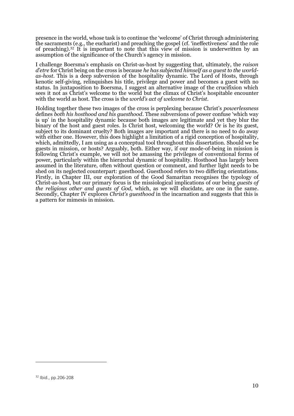presence in the world, whose task is to continue the 'welcome' of Christ through administering the sacraments (e.g., the eucharist) and preaching the gospel (cf. 'ineffectiveness' and the role of preaching).<sup>32</sup> It is important to note that this view of mission is underwritten by an assumption of the significance of the Church's agency in mission.

I challenge Boersma's emphasis on Christ-as-host by suggesting that, ultimately, the *raison d'etre* for Christ being on the cross is because *he has subjected himself as a guest to the worldas-host*. This is a deep subversion of the hospitality dynamic. The Lord of Hosts, through kenotic self-giving, relinquishes his title, privilege and power and becomes a guest with no status. In juxtaposition to Boersma, I suggest an alternative image of the crucifixion which sees it not as Christ's welcome to the world but the climax of Christ's hospitable encounter with the world as host. The cross is the *world's act of welcome to Christ*.

Holding together these two images of the cross is perplexing because Christ's *powerlessness* defines *both his hosthood and his guesthood*. These subversions of power confuse 'which way is up' in the hospitality dynamic because both images are legitimate and yet they blur the binary of the host and guest roles. Is Christ host, welcoming the world? Or is he its guest, subject to its dominant cruelty? Both images are important and there is no need to do away with either one. However, this does highlight a limitation of a rigid conception of hospitality, which, admittedly, I am using as a conceptual tool throughout this dissertation. Should we be guests in mission, or hosts? Arguably, both. Either way, if our mode-of-being in mission is following Christ's example, we will not be amassing the privileges of conventional forms of power, particularly within the hierarchal dynamic of hospitality. Hosthood has largely been assumed in the literature, often without question or comment, and further light needs to be shed on its neglected counterpart: guesthood. Guesthood refers to two differing orientations. Firstly, in Chapter III, our exploration of the Good Samaritan recognises the typology of Christ-as-host, but our primary focus is the missiological implications of our being *guests of the religious other and guests of God*, which, as we will elucidate, are one in the same. Secondly, Chapter IV explores *Christ's guesthood* in the incarnation and suggests that this is a pattern for mimesis in mission.

<sup>32</sup> Ibid., pp.206-208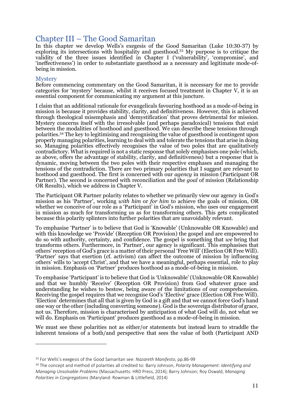# Chapter III – The Good Samaritan

In this chapter we develop Wells's exegesis of the Good Samaritan (Luke 10:30-37) by exploring its intersections with hospitality and guesthood. <sup>33</sup> My purpose is to critique the validity of the three issues identified in Chapter I ('vulnerability', 'compromise', and 'ineffectiveness') in order to substantiate guesthood as a necessary and legitimate mode-ofbeing in mission.

### **Mystery**

Before commencing commentary on the Good Samaritan, it is necessary for me to provide categories for 'mystery' because, whilst it receives focused treatment in Chapter V, it is an essential component for communicating my argument at this juncture.

I claim that an additional rationale for evangelicals favouring hosthood as a mode-of-being in mission is because it provides stability, clarity, and definitiveness. However, this is achieved through theological misemphasis and 'demystification' that proves detrimental for mission. Mystery concerns itself with the irresolvable (and perhaps paradoxical) tensions that exist between the modalities of hosthood and guesthood. We can describe these tensions through polarities.<sup>34</sup> The key to legitimising and recognising the value of guesthood is contingent upon properly managing polarities, learning to deal with and tolerate the tensions that arise in doing so. Managing polarities effectively recognises the value of two poles that are qualitatively contradictory. What is required is not a static response that solely emphasises one pole (which, as above, offers the advantage of stability, clarity, and definitiveness) but a response that is dynamic, moving between the two poles with their respective emphases and managing the tensions of the contradiction. There are two primary polarities that I suggest are relevant to hosthood and guesthood. The first is concerned with our *agency* in mission (Participant OR Partner). The second is concerned with reconciliation and the *goal* of mission (Relationship OR Results), which we address in Chapter V.

The Participant OR Partner polarity relates to whether we primarily view our agency in God's mission as his 'Partner', working *with him* or *for him* to achieve the goals of mission, OR whether we conceive of our role as a 'Participant' in God's mission, who uses our engagement in mission as much for transforming us as for transforming others. This gets complicated because this polarity splinters into further polarities that are unavoidably relevant.

To emphasise 'Partner' is to believe that God is 'Knowable' (Unknowable OR Knowable) and with this knowledge we 'Provide' (Reception OR Provision) the gospel and are empowered to do so with authority, certainty, and confidence. The gospel is something that *we* bring that transforms others. Furthermore, in 'Partner', our agency is significant. This emphasises that others' reception of God's grace is a matter of their personal 'Free Will' (Election OR Free Will). 'Partner' says that exertion (cf. activism) can affect the outcome of mission by influencing others' wills to 'accept Christ', and that we have a meaningful, perhaps essential, role to play in mission. Emphasis on 'Partner' produces hosthood as a mode-of-being in mission.

To emphasise 'Participant' is to believe that God is 'Unknowable' (Unknowable OR Knowable) and that we humbly 'Receive' (Reception OR Provision) from God whatever grace and understanding he wishes to bestow, being aware of the limitations of our comprehension. Receiving the gospel requires that we recognise God's 'Elective' grace (Election OR Free Will). 'Election' determines that all that is given by God is a gift and that we cannot force God's hand one way or the other (including converting someone). God is the sovereign distributor of grace, not us. Therefore, mission is characterised by anticipation of what God will do, not what we will do. Emphasis on 'Participant' produces guesthood as a mode-of-being in mission.

We must see these polarities not as either/or statements but instead learn to straddle the inherent tensions of a both/and perspective that sees the value of both (Participant AND

<sup>33</sup> For Wells's exegesis of the Good Samaritan see: *Nazareth Manifesto*, pp.86-99

<sup>34</sup> The concept and method of polarities all credited to: Barry Johnson, *Polarity Management: Identifying and Managing Unsolvable Problems* (Massachusetts: HRD Press, 2014); Barry Johnson; Roy Oswald, *Managing Polarities in Congregations* (Maryland: Rowman & Littlefield, 2014)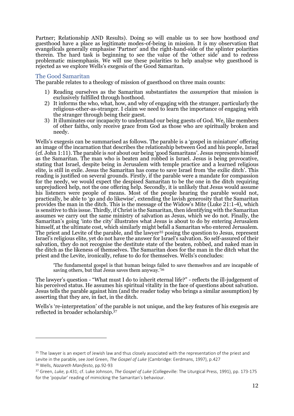Partner; Relationship AND Results). Doing so will enable us to see how hosthood *and* guesthood have a place as legitimate modes-of-being in mission. It is my observation that evangelicals generally emphasise 'Partner' and the right-hand-side of the splinter polarities therein. The hard task is beginning to see the value of the 'other side' and to redress problematic misemphasis. We will use these polarities to help analyse why guesthood is rejected as we explore Wells's exegesis of the Good Samaritan.

#### The Good Samaritan

The parable relates to a theology of mission of guesthood on three main counts:

- 1) Reading ourselves as the Samaritan substantiates the *assumption* that mission is exclusively fulfilled through hosthood.
- 2) It informs the who, what, how, and why of engaging with the stranger, particularly the religious-other-as-stranger. I claim we need to learn the importance of engaging with the stranger through being their guest.
- 3) It illuminates our incapacity to understand our being guests of God. We, like members of other faiths, only receive grace from God as those who are spiritually broken and needy.

Wells's exegesis can be summarised as follows. The parable is a 'gospel in miniature' offering an image of the incarnation that describes the relationship between God and his people, Israel (cf. John 1:11). The parable is *not* about our being 'good Samaritans'. Jesus represents himself as the Samaritan. The man who is beaten and robbed is Israel. Jesus is being provocative, stating that Israel, despite being in Jerusalem with temple practice and a learned religious elite, is still in exile. Jesus the Samaritan has come to save Israel from 'the exilic ditch'. This reading is justified on several grounds. Firstly, if the parable were a mandate for compassion for the needy, we would expect the despised Samaritan to be the one in the ditch requiring unprejudiced help, not the one offering help. Secondly, it is unlikely that Jesus would assume his listeners were people of means. Most of the people hearing the parable would not, practically, be able to 'go and do likewise', extending the lavish generosity that the Samaritan provides the man in the ditch. This is the message of the Widow's Mite (Luke 21:1-4), which is sensitive to this issue. Thirdly, if Christ is the Samaritan, then identifying with the Samaritan assumes we carry out the same ministry of salvation as Jesus, which we do not. Finally, the Samaritan's going 'into the city' illustrates what Jesus is about to do by entering Jerusalem himself, at the ultimate cost, which similarly might befall a Samaritan who entered Jerusalem. The priest and Levite of the parable, and the lawyer<sup>35</sup> posing the question to Jesus, represent Israel's religious elite, yet do not have the answer for Israel's salvation. So self-assured of their salvation, they do not recognise the destitute state of the beaten, robbed, and naked man in the ditch as the likeness of themselves. The Samaritan does for the man in the ditch what the priest and the Levite, ironically, refuse to do for themselves. Wells's concludes:

'The fundamental gospel is that human beings failed to save themselves and are incapable of saving others, but that Jesus saves them anyway.'<sup>36</sup>

The lawyer's question - "What must I do to inherit eternal life?" - reflects the ill-judgement of his perceived status. He assumes his spiritual vitality in the face of questions about salvation. Jesus tells the parable against him (and the reader today who brings a similar assumption) by asserting that they are, in fact, in the ditch.

Wells's 're-interpretation' of the parable is not unique, and the key features of his exegesis are reflected in broader scholarship.<sup>37</sup>

<sup>&</sup>lt;sup>35</sup> The lawyer is an expert of Jewish law and thus closely associated with the representation of the priest and Levite in the parable, see Joel Green, *The Gospel of Luke* (Cambridge: Eerdmans, 1997), p.427

<sup>36</sup> Wells, *Nazareth Manifesto*, pp.92-93

<sup>37</sup> Green, *Luke*, p.431; cf. Luke Johnson, *The Gospel of Luke* (Collegeville: The Liturgical Press, 1991), pp. 173-175 for the 'popular' reading of mimicking the Samaritan's behaviour.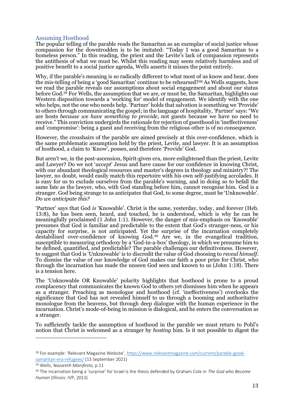### Assuming Hosthood

The popular telling of the parable reads the Samaritan as an exemplar of social justice whose compassion for the downtrodden is to be imitated: "Today I was a good Samaritan to a homeless person." In this reading, the priest and the Levite's lack of compassion represents the antithesis of what we must be. Whilst this reading may seem relatively harmless and of positive benefit to a social justice agenda, Wells asserts it misses the point entirely.

Why, if the parable's meaning is so radically different to what most of us know and hear, does the mis-telling of being a 'good Samaritan' continue to be rehearsed?<sup>38</sup> As Wells suggests, how we read the parable reveals our assumptions about social engagement and about our status before God.<sup>39</sup> For Wells, the assumption that we are, or must be, the Samaritan, highlights our Western disposition towards a 'working for' model of engagement. We identify with the one who helps, not the one who needs help. 'Partner' holds that salvation is something we 'Provide' to others through communicating the gospel; in the language of hospitality, 'Partner' says: "We are hosts *because we have something to provide*, not guests because we have no need to receive." This conviction undergirds the rationale for rejection of guesthood in 'ineffectiveness' and 'compromise': being a guest and receiving from the religious other is of no consequence.

However, the crosshairs of the parable are aimed precisely at this over-confidence, which is the same problematic assumption held by the priest, Levite, and lawyer. It is an assumption of hosthood, a claim to 'Know', posses, and therefore 'Provide' God.

But aren't we, in the post-ascension, Spirit-given era, more enlightened than the priest, Levite and Lawyer? Do we not '*accept*' Jesus and have cause for our confidence in knowing Christ, with our abundant theological resources and master's degrees in theology and ministry?! The lawyer, no doubt, would easily match this repertoire with his own self-justifying accolades. It is easy for us to exclude ourselves from the parable's warning, and in doing so to befall the same fate as the lawyer, who, with God standing before him, cannot recognise him. God is a stranger. God being strange to us anticipates that God, to some degree, must be 'Unknowable'. *Do we anticipate this?*

'Partner' says that God *is* 'Knowable'. Christ is the same, yesterday, today, and forever (Heb. 13:8), he has been seen, heard, and touched, he is understood, which is why he can be meaningfully proclaimed (1 John 1:1). However, the danger of mis-emphasis on 'Knowable' presumes that God is familiar and predictable to the extent that God's stranger-ness, or his capacity for surprise, is not anticipated. Yet the surprise of the incarnation completely destabilised over-confidence of knowing God. <sup>40</sup> Are we, in the evangelical tradition, susceptible to measuring orthodoxy by a 'God-in-a-box' theology, in which we presume him to be defined, quantified, and predictable? The parable challenges our definitiveness. However, to suggest that God is 'Unknowable' is to discredit the value of God choosing to *reveal himself*. To dismiss the value of our knowledge of God makes our faith a poor prize for Christ, who through the incarnation has made the unseen God seen and known to us (John 1:18). There is a tension here.

The 'Unknowable OR Knowable' polarity highlights that hosthood is prone to a proud complacency that communicates the known God to others yet dismisses him when he appears as a stranger. Preaching as monologue and hosthood (cf. 'ineffectiveness') overlooks the significance that God has not revealed himself to us through a booming and authoritative monologue from the heavens, but through deep dialogue with the human experience in the incarnation. Christ's mode-of-being in mission is dialogical, and he enters the conversation as a stranger.

To sufficiently tackle the assumption of hosthood in the parable we must return to Pohl's notion that Christ is welcomed as a stranger by *hosting* him. Is it not possible to digest the

<sup>38</sup> For example: 'Relevant Magazine Website', [https://www.relevantmagazine.com/current/parable-good](https://www.relevantmagazine.com/current/parable-good-samaritan-era-refugees/)[samaritan-era-refugees/](https://www.relevantmagazine.com/current/parable-good-samaritan-era-refugees/) (13 September 2021)

<sup>39</sup> Wells, *Nazareth Manifesto,* p.11

<sup>40</sup> The incarnation being a 'surprise' for Israel is the thesis defended by Graham Cole in *The God who Become Human* (Illinois: IVP, 2013)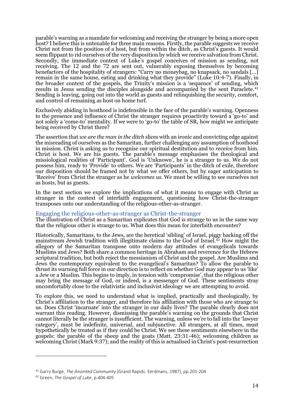parable's warning as a mandate for welcoming and receiving the stranger by being a more open host? I believe this is untenable for three main reasons. Firstly, the parable suggests we receive Christ not from the position of a host, but from within the ditch, as Christ's guests. It would seem flippant to rid ourselves of the very disposition by which we receive salvation from Christ. Secondly, the immediate context of Luke's gospel conceives of mission as sending, not receiving. The 12 and the 72 are sent out, vulnerably exposing themselves by becoming benefactors of the hospitality of strangers: "Carry no moneybag, no knapsack, no sandals [...] remain in the same house, eating and drinking what they provide" (Luke 10:4-7). Finally, in the broader context of the gospels, the Trinity's mission is a 'sequence' of sending, which results in Jesus sending the disciples alongside and accompanied by the sent Paraclete.<sup>41</sup> Sending is leaving, going out into the world as guests and relinquishing the security, comfort, and control of remaining as host on home turf.

Exclusively abiding in hosthood is indefensible in the face of the parable's warning. Openness to the presence and influence of Christ the stranger requires proactivity toward a 'go-to' and not solely a 'come-to' mentality. If we were to 'go-to' the table of SR, how might we anticipate being received by Christ there?

The assertion that *we are the man in the ditch* slices with an ironic and convicting edge against the misreading of ourselves as the Samaritan, further challenging any assumption of hosthood in mission. Christ is asking us to recognise our spiritual destitution and to *receive* from him. Christ is host. We are his guests. The parable's message emphasises the theological and missiological realities of 'Participant'. God is 'Unknown', he is a stranger to us. We do not possess him, ready to 'Provide' to others. We are 'Participants' in the ditch of exile, therefore our disposition should be framed not by what we offer others, but by eager anticipation to 'Receive' from Christ the stranger as he *welcomes us*. We must be willing to see ourselves not as hosts, but as guests.

In the next section we explore the implications of what it means to engage with Christ as stranger in the context of interfaith engagement, questioning how Christ-the-stranger transposes onto our understanding of the religious-other-as-stranger.

#### Engaging the religious-other-as-stranger as Christ-the-stranger

The illustration of Christ as a Samaritan explicates that God is strange to us in the same way that the religious other is strange to us. What does this mean for interfaith encounter?

Historically, Samaritans, to the Jews, are the heretical 'sibling' of Israel, piggy backing off the mainstream Jewish tradition with illegitimate claims to the God of Israel.<sup>42</sup> How might the allegory of the Samaritan transpose onto modern day attitudes of evangelicals towards Muslims and Jews? Both share a common heritage in Abraham and reverence for the Hebrew scriptural tradition, but both reject the messianism of Christ and the gospel. Are Muslims and Jews the contemporary equivalent to the evangelical's Samaritan? To allow the parable to thrust its warning full force in our direction is to reflect on whether God may appear to us 'like' a Jew or a Muslim. This begins to imply, in tension with 'compromise', that the religious other may bring the message of God, or indeed, is a messenger of God. These sentiments stray uncomfortably close to the relativistic and inclusivist ideology we are attempting to avoid.

To explore this, we need to understand what is implied, practically and theologically, by Christ's affiliation to the stranger, and therefore his affiliation with those who are strange to us. Does Christ 'incarnate' into the stranger in our daily lives? The parable clearly does not warrant this reading. However, dismissing the parable's warning on the grounds that Christ cannot literally be the stranger is insufficient. The warning, unless we're to fall into the 'lawyer category', must be indefinite, universal, and subjunctive. All strangers, at all times, must hypothetically be treated as if they could be Christ. We see these sentiments elsewhere in the gospels: the parable of the sheep and the goats (Matt. 23:31-46); welcoming children as welcoming Christ (Mark 9:37); and the reality of this is actualised in Christ's post-resurrection

<sup>41</sup> Garry Burge, *The Anointed Community* (Grand Rapids: Eerdmans, 1987), pp.201-204

<sup>42</sup> Green, *The Gospel of Luke*, p.404-405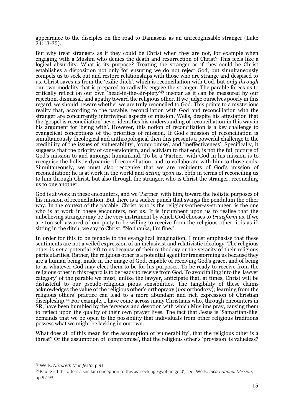appearance to the disciples on the road to Damascus as an unrecognisable stranger (Luke  $24:13-35$ ).

But why treat strangers as if they could be Christ when they are not, for example when engaging with a Muslim who denies the death and resurrection of Christ? This feels like a logical absurdity. What is its purpose? Treating the stranger as if they could be Christ establishes a disposition not only for ensuring we do not reject God, but simultaneously compels us to seek out and restore relationships with those who are strange and despised to us. Christ saves us from the 'exilic ditch', which is reconciliation with God, but *only through* our own modality that is prepared to radically engage the stranger. The parable forces us to critically reflect on our own 'head-in-the-air-piety'<sup>43</sup> insofar as it can be measured by our rejection, dismissal, and apathy toward the religious other. If we judge ourselves poorly in this regard, we should beware whether we are truly reconciled to God. This points to a mysterious reality that, according to the parable, reconciliation with God and reconciliation with the stranger are concurrently intertwined aspects of mission. Wells, despite his attestation that the 'gospel is reconciliation' never identifies his understanding of reconciliation in this way in his argument for 'being with'. However, this notion of reconciliation is a key challenge to evangelical conceptions of the priorities of mission. If God's mission of reconciliation is simultaneously theological and anthropological then this presents a powerful challenge to the credibility of the issues of 'vulnerability', 'compromise', and 'ineffectiveness'. Specifically, it suggests that the priority of conversionism, and activism to that end, is not the full picture of God's mission to and amongst humankind. To be a 'Partner' with God in his mission is to recognise the holistic dynamic of reconciliation, and to collaborate with him to those ends. Simultaneously, we must also recognise that we are recipients of God's mission of reconciliation: he is at work in the world and *acting upon us*, both in terms of reconciling us to him through Christ, but also through the stranger, who is Christ the stranger, reconciling us to one another.

God is at work in these encounters, and we 'Partner' with him, toward the holistic purposes of his mission of reconciliation. But there is a sucker punch that swings the pendulum the other way. In the context of the parable, Christ, who is the religious-other-as-stranger, is the one who is at work in these encounters, not us. It is incumbent upon us to realise that the unbelieving stranger may be the very instrument by which God chooses to *transform us*. If we are too self-assured of our piety to be willing to receive from the religious other, it is as if, sitting in the ditch, we say to Christ, "No thanks, I'm fine."

In order for this to be tenable to the evangelical imagination, I must emphasise that these sentiments are not a veiled expression of an inclusivist and relativistic ideology. The religious other is *not* a potential gift to us because of their orthodoxy or the veracity of their religious particularities. Rather, the religious other is a potential agent for transforming us because they are a human being, made in the image of God, capable of receiving God's grace, and of being to us whatever God may elect them to be for his purposes. To be ready to receive from the religious other in this regard is to be ready to receive from God. To avoid falling into the 'lawyer category' of the parable we must, unlike the lawyer, anticipate that, at times, Christ will be distasteful to our pseudo-religious pious sensibilities. The tangibility of these claims acknowledges the value of the religious other's orthopraxy (*not* orthodoxy); learning from the religious others' practice can lead to a more abundant and rich expression of Christian discipleship. <sup>44</sup> For example, I have come across many Christians who, through encounters in SR, have been humbled by the fervency and devotion with which Muslims pray, causing them to reflect upon the quality of their own prayer lives. The fact that Jesus is 'Samaritan-like' demands that we be open to the possibility that individuals from other religious traditions possess what we might be lacking in our own.

What does all of this mean for the assumption of 'vulnerability', that the religious other is a threat? Or the assumption of 'compromise', that the religious other's 'provision' is valueless?

<sup>43</sup> Wells, *Nazareth Manifesto*, p.91

<sup>44</sup> Paul Griffiths offers a similar conception to this as 'seeking Egyptian gold', see: Wells, *Incarnational Mission*, pp.92-93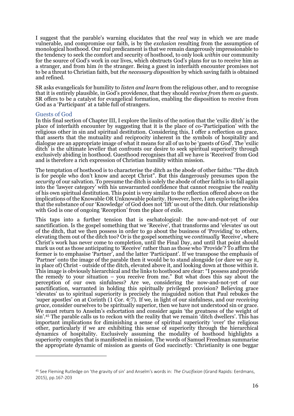I suggest that the parable's warning elucidates that the *real* way in which we are made vulnerable, and compromise our faith, is by the *exclusion* resulting from the assumption of monological hosthood. Our real predicament is that we remain dangerously impressionable to the tendency to seek the comfort and security of hosthood, to only look *within* our community for the source of God's work in our lives, which obstructs God's plans for us to receive him as a stranger, and from him *in* the stranger. Being a guest in interfaith encounter promises not to be a threat to Christian faith, but *the necessary disposition* by which saving faith is obtained and refined.

SR asks evangelicals for humility to *listen and learn* from the religious other, and to recognise that it is entirely plausible, in God's providence, that they should *receive from them as guests*. SR offers to be a catalyst for evangelical formation, enabling the disposition to receive from God as a 'Participant' at a table full of strangers.

#### Guests of God

In this final section of Chapter III, I explore the limits of the notion that the 'exilic ditch' is the place of interfaith encounter by suggesting that it is the place of co-'Participation' with the religious other in sin and spiritual destitution. Considering this, I offer a reflection on grace, that asserts that the mutuality and reciprocity inherent in the symbols of hospitality and dialogue are an appropriate image of what it means for all of us to be 'guests of God'. The 'exilic ditch<sup>7</sup> is the ultimate leveller that confronts our desire to seek spiritual superiority through exclusively abiding in hosthood. Guesthood recognises that all we have is 'Received' from God and is therefore a rich expression of Christian humility within mission.

The temptation of hosthood is to characterise the ditch as the abode of other faiths: "The ditch is for people who don't know and accept Christ". But this dangerously presumes upon the *security* of our salvation. To presume the ditch is solely the abode of other faiths is to fall again into the 'lawyer category' with his unwarranted confidence that cannot recognise the *reality* of his own spiritual destitution. This point is very similar to the reflection offered above on the implications of the Knowable OR Unknowable polarity. However, here, I am exploring the idea that the substance of our 'Knowledge' of God does not 'lift' us out of the ditch. Our relationship with God is one of ongoing 'Reception' from the place of exile.

This taps into a further tension that is eschatological: the now-and-not-yet of our sanctification. Is the gospel something that we 'Receive', that transforms and 'elevates' us out of the ditch, that we then possess in order to go about the business of 'Providing' to others, elevating them out of the ditch too? Or is the gospel something we *continually '*Receive', where Christ's work has never come to completion, until the Final Day, and until that point should mark us out as those anticipating to 'Receive' rather than as those who 'Provide'? To affirm the former is to emphasise 'Partner', and the latter 'Participant'. If we transpose the emphasis of 'Partner' onto the image of the parable then it would be to stand alongside (or dare we say it, in place of) Christ - outside of the ditch, elevated above it, and looking down at those within it. This image is obviously hierarchical and the links to hosthood are clear: "I possess and provide the remedy to your situation – you receive from me." But what does this say about the perception of our own sinfulness? Are we, considering the now-and-not-yet of our sanctification, warranted in holding this spiritually privileged provision? Believing grace 'elevates' us to spiritual superiority is precisely the misguided notion that Paul rebukes the 'super apostles' on at Corinth (1 Cor. 4:7). If we, in light of our sinfulness, and our *receiving grace*, consider ourselves to be spiritually superior, then we have not understood sin or grace. We must return to Anselm's exhortation and consider again 'the greatness of the weight of sin'.<sup>45</sup> The parable calls us to reckon with the reality that we remain 'ditch dwellers'. This has important implications for diminishing a sense of spiritual superiority 'over' the religious other, particularly if we are exhibiting this sense of superiority through the hierarchical dynamics of hospitality. Exclusively assuming the modality of hosthood highlights a superiority complex that is manifested in mission. The words of Samuel Freedman summarise the appropriate dynamic of mission as guests of God succinctly: 'Christianity is one beggar

<sup>45</sup> See Fleming Rutledge on 'the gravity of sin' and Anselm's words in: *The Crucifixion* (Grand Rapids: Eerdmans, 2015), pp.167-203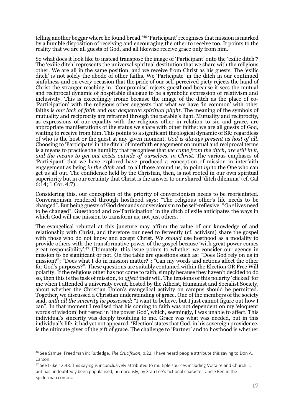telling another beggar where he found bread.'<sup>46</sup> 'Participant' recognises that mission is marked by a humble disposition of receiving and encouraging the other to receive too. It points to the reality that we are all guests of God, and all likewise receive grace only from him.

So what does it look like to instead transpose the image of 'Participant' onto the 'exilic ditch'? The 'exilic ditch' represents the universal spiritual destitution that we share with the religious other. We are all in the same position, and we receive from Christ as his guests. The 'exilic ditch' is not solely the abode of other faiths. We 'Participate' in the ditch in our continued sinfulness and on every occasion that the pride of our self-perceived piety rejects the hand of Christ-the-stranger reaching in. 'Compromise' rejects guesthood because it sees the mutual and reciprocal dynamic of hospitable dialogue to be a symbolic expression of relativism and inclusivity. This is exceedingly ironic because the image of the ditch as the place of co- 'Participation' with the religious other suggests that what we have 'in common' with other faiths is *our lack of faith* and *our desperate spiritual plight*. The meaning of the symbols of mutuality and reciprocity are reframed through the parable's light. Mutuality and reciprocity, as expressions of our equality with the religious other in relation to sin and grace, are appropriate manifestations of the status we share with other faiths: we are all guests of God, waiting to receive from him. This points to a significant theological dynamic of  $\overline{S}R$ : regardless of who is the host or the guest at any given moment, *God is always present as host of all*. Choosing to 'Participate' in 'the ditch' of interfaith engagement on mutual and reciprocal terms is a means to practice the humility that recognises that *we came from the ditch*, *are still in it*, *and the means to get out exists outside of ourselves, in Christ.* The various emphases of 'Participant' that we have explored have produced a conception of mission in interfaith engagement as being *in the ditch* and, to all those around us, to point *up* to the One who can get us all out. The confidence held by the Christian, then, is not rooted in our own spiritual superiority but in our certainty that Christ is the answer to our shared 'ditch dilemma' (cf. Gal 6:14; 1 Cor. 4:7).

Considering this, our conception of the priority of conversionism needs to be reorientated. Conversionism rendered through hosthood says: "The religious other's life needs to be changed". But being guests of God demands conversionism to be self-reflexive: "*Our* lives need to be changed". Guesthood and co-'Participation' in the ditch of exile anticipates the ways in which God will use mission to transform us, not just others.

The evangelical rebuttal at this juncture may affirm the value of our knowledge of and relationship with Christ, and therefore our need to fervently (cf. activism) share the gospel with those who do not know and accept Christ. We *should* use hosthood as a modality to provide others with the transformative power of the gospel because 'with great power comes great responsibility'.<sup>47</sup> Ultimately, this issue points to whether we consider our agency in mission to be significant or not. On the table are questions such as: "Does God rely on us in mission?"; "Does what I do in mission matter?"; "Can my words and actions affect the other for God's purposes?". These questions are suitably contained within the Election OR Free Will polarity. If the religious other has not come to faith, simply because they haven't decided to do so, then this is the task of mission, to *affect* their will. The tensions of this polarity 'clicked' for me when I attended a university event, hosted by the Atheist, Humanist and Socialist Society, about whether the Christian Union's evangelical activity on campus should be permitted. Together, we discussed a Christian understanding of grace. One of the members of the society said, *with all the sincerity he possessed*: "I want to believe, but I just cannot figure out how I can". In that moment I realised that his coming to faith was not dependent on my 'eloquent words of wisdom' but rested in 'the power God', which, seemingly, I was unable to affect. This individual's sincerity was deeply troubling to me. Grace was what was needed, but in this individual's life, it had yet not appeared. 'Election' states that God, in his sovereign providence, is the ultimate giver of the gift of grace. The challenge to 'Partner' and to hosthood is whether

<sup>46</sup> See Samuel Freedman in: Rutledge, *The Crucifixion*, p.22. I have heard people attribute this saying to Don A. Carson.

<sup>47</sup> See Luke 12:48. This saying is inconclusively attributed to multiple sources including Voltaire and Churchill, but has undoubtedly been popularised, humorously, by Stan Lee's fictional character Uncle Ben in the Spiderman comics.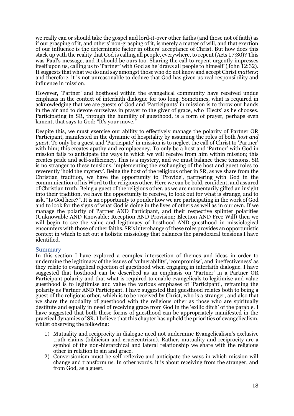we really can or should take the gospel and lord-it-over other faiths (and those not of faith) as if our grasping of it, and others' non-grasping of it, is merely a matter of will, and that exertion of our influence is the determinate factor in others' acceptance of Christ. But how does this stack up with the reality that God is calling all people, everywhere, to repent (Acts 17:30)? This was Paul's message, and it should be ours too. Sharing the call to repent urgently impresses itself upon us, calling us to 'Partner' with God as he 'draws all people to himself' (John 12:32). It suggests that what we do and say amongst those who do not know and accept Christ *matters*; and therefore, it is not unreasonable to deduce that God has given us real responsibility and influence in mission.

However, 'Partner' and hosthood within the evangelical community have received undue emphasis in the context of interfaith dialogue for too long. Sometimes, what is required in acknowledging that we are guests of God and 'Participants' in mission is to throw our hands in the air and to devote ourselves in prayer to the giver of grace, who 'Elects' as he chooses. Participating in SR, through the humility of guesthood, is a form of prayer, perhaps even lament, that says to God: "It's your move."

Despite this, we must exercise our ability to effectively manage the polarity of Partner OR Participant, manifested in the dynamic of hospitality by assuming the roles of both *host and guest.* To only be a guest and 'Participate' in mission is to neglect the call of Christ to 'Partner' with him; this creates apathy and complacency. To only be a host and 'Partner' with God in mission fails to anticipate the ways in which we will receive from him within mission; this creates pride and self-sufficiency. This is a mystery, and we must balance these tensions. SR is no stranger to these tensions, implementing the exchanging of the host and guest roles to reverently 'hold the mystery'. Being the host of the religious other in SR, as we share from the Christian tradition, we have the opportunity to 'Provide', partnering with God in the communication of his Word to the religious other. Here we can be bold, confident, and assured of Christian truth. Being a guest of the religious other, as we are momentarily gifted an insight into their tradition, we have the opportunity to receive, to look out for what is strange, and to ask, "Is God here?". It is an opportunity to ponder how we are participating in the work of God and to look for the signs of what God is doing in the lives of others as well as in our own. If we manage the polarity of Partner AND Participant, and their respective splinter polarities (Unknowable AND Knowable; Reception AND Provision; Election AND Free Will) then we will begin to see the value and legitimacy of hosthood AND guesthood in missiological encounters with those of other faiths. SR's interchange of these roles provides an opportunistic context in which to act out a holistic missiology that balances the paradoxical tensions I have identified.

#### Summary

In this section I have explored a complex intersection of themes and ideas in order to undermine the legitimacy of the issues of 'vulnerability', 'compromise', and 'ineffectiveness' as they relate to evangelical rejection of guesthood when engaging in interfaith dialogue. I have suggested that hosthood can be described as an emphasis on 'Partner' in a Partner OR Participant polarity and that what is required to enable evangelicals to legitimise and value guesthood is to legitimise and value the various emphases of 'Participant', reframing the polarity as Partner AND Participant. I have suggested that guesthood relates both to being a guest of the religious other, which is to be received by Christ, who is a stranger, and also that we share the modality of guesthood with the religious other as those who are spiritually destitute and equally in need of receiving grace from God in the 'exilic ditch' of the parable. I have suggested that both these forms of guesthood can be appropriately manifested in the practical dynamics of SR. I believe that this chapter has upheld the priorities of evangelicalism, whilst observing the following:

- 1) Mutuality and reciprocity in dialogue need not undermine Evangelicalism's exclusive truth claims (biblicism and crucicentrism). Rather, mutuality and reciprocity are a symbol of the non-hierarchical and lateral relationship we share with the religious other in relation to sin and grace.
- 2) Conversionism must be self-reflexive and anticipate the ways in which mission will change and transform us. In other words, it is about receiving from the stranger, and from God, as a guest.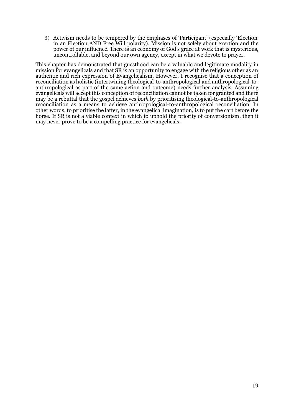3) Activism needs to be tempered by the emphases of 'Participant' (especially 'Election' in an Election AND Free Will polarity). Mission is not solely about exertion and the power of our influence. There is an economy of God's grace at work that is mysterious, uncontrollable, and beyond our own agency, except in what we devote to prayer.

This chapter has demonstrated that guesthood can be a valuable and legitimate modality in mission for evangelicals and that SR is an opportunity to engage with the religious other as an authentic and rich expression of Evangelicalism. However, I recognise that a conception of reconciliation as holistic (intertwining theological-to-anthropological and anthropological-toanthropological as part of the same action and outcome) needs further analysis. Assuming evangelicals will accept this conception of reconciliation cannot be taken for granted and there may be a rebuttal that the gospel achieves *both* by prioritising theological-to-anthropological reconciliation as a means to achieve anthropological-to-anthropological reconciliation. In other words, to prioritise the latter, in the evangelical imagination, is to put the cart before the horse. If SR is not a viable context in which to uphold the priority of conversionism, then it may never prove to be a compelling practice for evangelicals.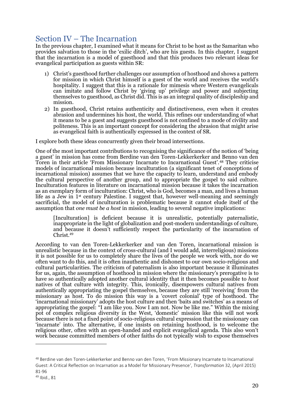# Section IV – The Incarnation

In the previous chapter, I examined what it means for Christ to be host as the Samaritan who provides salvation to those in the 'exilic ditch', who are his guests. In this chapter, I suggest that the incarnation is a model of guesthood and that this produces two relevant ideas for evangelical participation as guests within SR:

- 1) Christ's guesthood further challenges our assumption of hosthood and shows a pattern for mission in which Christ himself is a guest of the world and receives the world's hospitality. I suggest that this is a rationale for mimesis where Western evangelicals can imitate and follow Christ by 'giving up' privilege and power and subjecting themselves to guesthood, as Christ did. This is as an integral quality of discipleship and mission.
- 2) In guesthood, Christ retains authenticity and distinctiveness, even when it creates abrasion and undermines his host, the world. This refines our understanding of what it means to be a guest and suggests guesthood is not confined to a mode of civility and politeness. This is an important concept for considering the abrasion that might arise as evangelical faith is authentically expressed in the context of SR.

I explore both these ideas concurrently given their broad intersections.

One of the most important contributions to recognising the significance of the notion of 'being a guest' in mission has come from Berdine van den Toren-Lekkerkerker and Benno van den Toren in their article 'From Missionary Incarnate to Incarnational Guest'.<sup>48</sup> They criticise models of incarnational mission because inculturation (a significant tenet of conceptions of incarnational mission) assumes that we have the capacity to learn, understand and embody the cultural perspective of another group, and to appropriate the gospel to said culture. Inculturation features in literature on incarnational mission because it takes the incarnation as an exemplary form of inculturation: Christ, who is God, becomes a man, and lives a human life as a Jew in 1<sup>st</sup> century Palestine. I suggest that, however well-meaning and seemingly sacrificial, the model of inculturation is problematic because it cannot elude itself of the assumption that *one must be a host* in mission, leading to several negative implications:

[Inculturation] is deficient because it is unrealistic, potentially paternalistic, inappropriate in the light of globalization and post-modern understandings of culture, and because it doesn't sufficiently respect the particularity of the incarnation of Christ.<sup>49</sup>

According to van den Toren-Lekkerkerker and van den Toren, incarnational mission is unrealistic because in the context of cross-cultural (and I would add, interreligious) missions it is not possible for us to completely share the lives of the people we work with, nor do we often want to do this, and it is often inauthentic and dishonest to our own socio-religious and cultural particularities. The criticism of paternalism is also important because it illuminates for us, again, the assumption of hosthood in mission where the missionary's prerogative is to have so authentically adopted another cultural identity that it then becomes possible to *host* natives of that culture with integrity. This, ironically, disempowers cultural natives from authentically appropriating the gospel themselves, because they are still 'receiving' from the missionary as host. To do mission this way is a 'covert colonial' type of hosthood. The 'incarnational missionary' adopts the host culture and then 'baits and switches' as a means of appropriating the gospel: "I am like you. Now I am not. Now be like me." Within the mixing pot of complex religious diversity in the West, 'domestic' mission like this will not work because there is not a fixed point of socio-religious cultural expression that the missionary can 'incarnate' into. The alternative, if one insists on retaining hosthood, is to welcome the religious other, often with an open-handed and explicit evangelical agenda. This also won't work because committed members of other faiths do not typically wish to expose themselves

<sup>48</sup> Berdine van den Toren-Lekkerkerker and Benno van den Toren, 'From Missionary Incarnate to Incarnational Guest: A Critical Reflection on Incarnation as a Model for Missionary Presence', *Transformation* 32, (April 2015) 81-96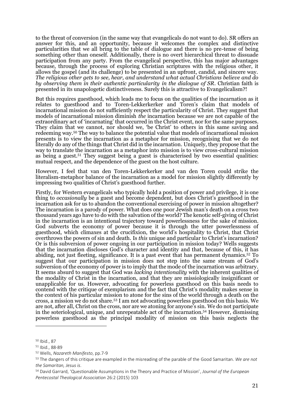to the threat of conversion (in the same way that evangelicals do not want to do). SR offers an answer for this, and an opportunity, because it welcomes the complex and distinctive particularities that we all bring to the table of dialogue and there is no pre-tense of being something other than oneself. Additionally, there is no overt hierarchical threat to dissuade participation from any party. From the evangelical perspective, this has major advantages because, through the process of exploring Christian scriptures with the religious other, it allows the gospel (and its challenge) to be presented in an upfront, candid, and sincere way. *The religious other gets to see, hear, and understand what actual Christians believe and do by observing them in their authentic particularity in the dialogue of SR*. Christian faith is presented in its unapologetic distinctiveness. Surely this is attractive to Evangelicalism?!

But this requires guesthood, which leads me to focus on the qualities of the incarnation as it relates to guesthood and to Toren-Lekkerkerker and Toren's claim that models of incarnational mission do not sufficiently respect the particularity of Christ. They suggest that models of incarnational mission diminish *the* incarnation because we are not capable of the extraordinary act of 'incarnating' that occurred in the Christ event, nor for the same purposes. They claim that we cannot, nor should we, 'be Christ' to others in this same saving and redeeming way.<sup>50</sup> The way to balance the potential value that models of incarnational mission presents is to view the incarnation as a metaphor for mission, recognising that we do not literally do any of the things that Christ did in the incarnation. Uniquely, they propose that the way to translate the incarnation as a metaphor into mission is to view cross-cultural mission as being a guest.<sup>51</sup> They suggest being a guest is characterised by two essential qualities: mutual respect, and the dependence of the guest on the host culture.

However, I feel that van den Toren-Lekkerkerker and van den Toren could strike the literalism-metaphor balance of the incarnation as a model for mission slightly differently by impressing two qualities of Christ's guesthood further.

Firstly, for Western evangelicals who typically hold a position of power and privilege, it is one thing to *occasionally* be a guest and become dependent, but does Christ's guesthood in the incarnation ask for us to abandon the conventional exercising of power in mission altogether? The incarnation is a parody of power. What does one poor Jewish man's death on a cross two thousand years ago have to do with the salvation of the world? The kenotic self-giving of Christ in the incarnation is an intentional trajectory toward powerlessness for the sake of mission. God subverts the economy of power because it is through the utter powerlessness of guesthood, which climaxes at the crucifixion, the world's hospitality to Christ, that Christ overthrows the powers of sin and death. Is *this* unique and particular to Christ's incarnation? Or is this subversion of power ongoing in our participation in mission today? Wells suggests that the incarnation discloses God's character and identity and that, because of this, it has abiding, not just fleeting, significance. It is a past event that has permanent dynamics.<sup>52</sup> To suggest that our participation in mission does not step into the same stream of God's subversion of the economy of power is to imply that the mode of the incarnation was arbitrary. It seems absurd to suggest that God was *lacking intentionality* with the inherent qualities of the modality of Christ in the incarnation, and that they are missiologically insignificant or unapplicable for us. However, advocating for powerless guesthood on this basis needs to contend with the critique of exemplarism and the fact that Christ's modality makes sense in the context of his particular mission to atone for the sins of the world through a death on the cross, a mission we do not share.<sup>53</sup> I am not advocating powerless guesthood on this basis. We are not, after all, Christ on the cross, nor are we atoning for anyone's sin. We do not participate in the soteriological, unique, and unrepeatable act of the incarnation. <sup>54</sup> However, dismissing powerless guesthood as the principal modality of mission on this basis neglects the

<sup>50</sup> Ibid., 87

<sup>51</sup> Ibid., 88-89

<sup>52</sup> Wells, *Nazareth Manifesto*, pp.7-9

<sup>53</sup> The dangers of this critique are exampled in the misreading of the parable of the Good Samaritan. *We are not the Samaritan, Jesus is*.

<sup>54</sup> David Garrard, 'Questionable Assumptions in the Theory and Practice of Mission', *Journal of the European Pentecostal Theological Association* 26:2 (2015) 103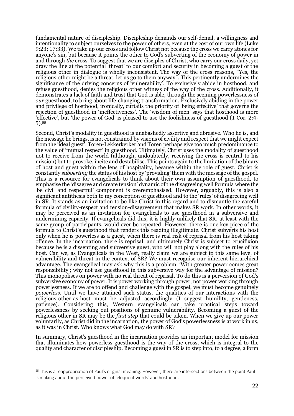fundamental nature of discipleship. Discipleship demands our self-denial, a willingness and intentionality to subject ourselves to the power of others, even at the cost of our own life (Luke 9:23; 17:33). We take up our cross and follow Christ not because the cross we carry atones for anyone's sin, but because it points the other to God's subverting of the economy of power in and through *the* cross. To suggest that we are disciples of Christ, who carry our cross daily, yet draw the line at the potential 'threat' to our comfort and security in becoming a guest of the religious other in dialogue is wholly inconsistent. The way of the cross reasons, "Yes, the religious other might be a threat, let us go to them anyway". This pertinently undermines the significance of the driving concerns of 'vulnerability'. To exclusively abide in hosthood, and refuse guesthood, denies the religious other witness of the way of the cross. Additionally, it demonstrates a lack of faith and trust that God is able, through the seeming powerlessness of *our* guesthood, to bring about life-changing transformation. Exclusively abiding in the power and privilege of hosthood, ironically, curtails the priority of 'being effective' that governs the rejection of guesthood in 'ineffectiveness'. The 'wisdom of men' says that hosthood is more 'effective', but 'the power of God' is pleased to use the foolishness of guesthood (1 Cor. 2:4- 5).<sup>55</sup>

Second, Christ's modality in guesthood is unabashedly assertive and abrasive. Who he is, and the message he brings, is not constrained by visions of civility and respect that we might expect from the 'ideal guest'. Toren-Lekkerkerker and Toren perhaps give too much predominance to the value of 'mutual respect' in guesthood. Ultimately, Christ uses the modality of guesthood not to receive from the world (although, undoubtedly, receiving the cross is central to his mission) but to provoke, incite and destabilise. This points again to the limitation of the binary of host and guest within the lens of hospitality, because within the role of guest, Christ is constantly *subverting* the status of his host by 'providing' them with the message of the gospel. This is a resource for evangelicals to think about their own assumption of guesthood, to emphasise the 'disagree and create tension' dynamic of the disagreeing well formula where the 'be civil and respectful' component is overemphasised. However, arguably, this is also a significant antithesis both to my conception of guesthood and to the 'rules' of disagreeing well in SR. It stands as an invitation to be like Christ in this regard and to dismantle the careful formula of civility-respect and tension-disagreement that makes SR work. In other words, it may be perceived as an invitation for evangelicals to use guesthood in a subversive and undermining capacity. If evangelicals did this, it is highly unlikely that SR, at least with the same group of participants, would ever be repeated. However, there is one key piece of the formula to Christ's guesthood that renders this reading illegitimate. Christ subverts his host only when he is powerless as a guest, when there is real risk of reprisal from his host taking offence. In the incarnation, there is reprisal, and ultimately Christ is subject to crucifixion because he is a dissenting and subversive guest, who will not play along with the rules of his host. Can we, as Evangelicals in the West, really claim we are subject to this same level of vulnerability and threat in the context of SR? We must recognise our inherent hierarchical advantage. The evangelical may ask why this is a problem. 'With greater power comes great responsibility'; why not use guesthood in this subversive way for the advantage of mission? This monopolises on power with no real threat of reprisal. To do this is a perversion of God's subversive economy of power. It is power working through power, not power working through powerlessness. If we are to offend and challenge with the gospel, we must become genuinely *powerless*. Until we have attained such status, the qualities of our interactions with the religious-other-as-host must be adjusted accordingly (I suggest humility, gentleness, patience). Considering this, Western evangelicals can take practical steps toward powerlessness by seeking out positions of genuine vulnerability. Becoming a guest of the religious other in SR may be the *first step* that could be taken. When we give up our power voluntarily, as Christ did in the incarnation, the power of God's powerlessness is at work in us, as it was in Christ. Who knows what God may do with SR?

In summary, Christ's guesthood in the incarnation provides an important model for mission that illuminates how powerless guesthood is the way of the cross, which is integral to the quality and character of discipleship. Becoming a guest in SR is to step into, to a degree, a form

<sup>&</sup>lt;sup>55</sup> This is a reappropriation of Paul's original meaning. However, there are intersections between the point Paul is making about the perceived power of 'eloquent words' and hosthood.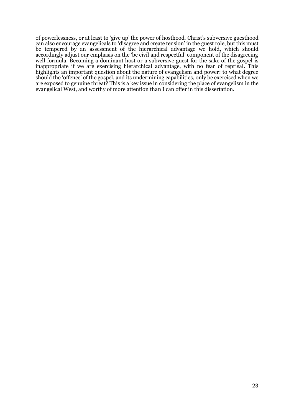of powerlessness, or at least to 'give up' the power of hosthood. Christ's subversive guesthood can also encourage evangelicals to 'disagree and create tension' in the guest role, but this must be tempered by an assessment of the hierarchical advantage we hold, which should accordingly adjust our emphasis on the 'be civil and respectful' component of the disagreeing well formula. Becoming a dominant host or a subversive guest for the sake of the gospel is inappropriate if we are exercising hierarchical advantage, with no fear of reprisal. This highlights an important question about the nature of evangelism and power: to what degree should the 'offence' of the gospel, and its undermining capabilities, only be exercised when we are exposed to genuine threat? This is a key issue in considering the place of evangelism in the evangelical West, and worthy of more attention than I can offer in this dissertation.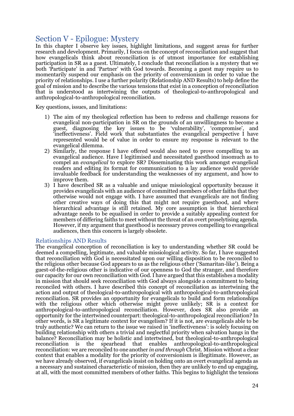# Section V - Epilogue: Mystery

In this chapter I observe key issues, highlight limitations, and suggest areas for further research and development. Primarily, I focus on the concept of reconciliation and suggest that how evangelicals think about reconciliation is of utmost importance for establishing participation in SR as a guest. Ultimately, I conclude that reconciliation is a mystery that we both 'Participate' in and 'Partner' with God towards. Becoming a guest may require us to momentarily suspend our emphasis on the priority of conversionism in order to value the priority of relationships. I use a further polarity (Relationship AND Results) to help define the goal of mission and to describe the various tensions that exist in a conception of reconciliation that is understood as intertwining the outputs of theological-to-anthropological and anthropological-to-anthropological reconciliation.

Key questions, issues, and limitations:

- 1) The aim of my theological reflection has been to redress and challenge reasons for evangelical non-participation in SR on the grounds of an unwillingness to become a guest, diagnosing the key issues to be 'vulnerability', 'compromise', and 'ineffectiveness'. Field work that substantiates the evangelical perspective I have represented would be of value in order to ensure my response is relevant to the evangelical dilemma.
- 2) Similarly, the response I have offered would also need to prove compelling to an evangelical audience. Have I legitimised and necessitated guesthood insomuch as to compel an *evangelical* to explore SR? Disseminating this work amongst evangelical readers and editing its format for communication to a lay audience would provide invaluable feedback for understanding the weaknesses of my argument, and how to improve them.
- 3) I have described SR as a valuable and unique missiological opportunity because it provides evangelicals with an audience of committed members of other faiths that they otherwise would not engage with. I have assumed that evangelicals are not finding other creative ways of doing this that might not require guesthood, and where hierarchical advantage is still retained. My core assumption is that hierarchical advantage needs to be equalised in order to provide a suitably appealing context for members of differing faiths to meet without the threat of an overt proselytising agenda. However, if my argument that guesthood is necessary proves compelling to evangelical audiences, then this concern is largely obsolete.

#### Relationships AND Results

The evangelical conception of reconciliation is key to understanding whether SR could be deemed a compelling, legitimate, and valuable missiological activity. So far, I have suggested that reconciliation with God is necessitated upon our willing disposition to be reconciled to the religious other because God appears to us as the religious other ('Samaritan-like'). Being a guest-of-the-religious other is indicative of our openness to God the stranger, and therefore our capacity for our own reconciliation with God.I have argued that this establishes a modality in mission that should seek reconciliation with God always alongside a commitment to being reconciled with others. I have described this concept of reconciliation as intertwining the action and output of theological-to-anthropological with anthropological-to-anthropological reconciliation. SR provides an opportunity for evangelicals to build and form relationships with the religious other which otherwise might prove unlikely; SR is a context for anthropological-to-anthropological reconciliation. However, does SR also provide an opportunity for the intertwined counterpart: theological-to-anthropological reconciliation? In other words, is SR a legitimate context for evangelism? If it is not, are evangelicals able to be truly authentic? We can return to the issue we raised in 'ineffectiveness': is solely focusing on building relationship with others a trivial and neglectful priority when salvation hangs in the balance? Reconciliation may be holistic and intertwined, but theological-to-anthropological reconciliation is the spearhead that enables anthropological-to-anthropological reconciliation: we are reconciled to one another *in and through* Christ. Mission without a clear context that enables a modality for the priority of conversionism is illegitimate. However, as we have already observed, if evangelicals insist on holding onto an overt evangelical agenda as a necessary and sustained characteristic of mission, then they are unlikely to end up engaging, at all, with the most committed members of other faiths. This begins to highlight the tensions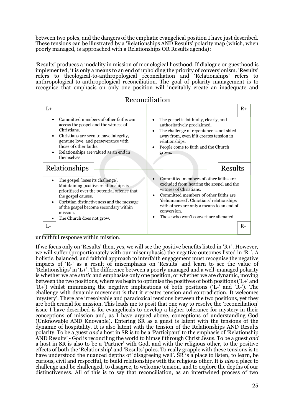between two poles, and the dangers of the emphatic evangelical position I have just described. These tensions can be illustrated by a 'Relationships AND Results' polarity map (which, when poorly managed, is approached with a Relationships OR Results agenda):

'Results' produces a modality in mission of monological hosthood. If dialogue or guesthood is implemented, it is only a means to an end of upholding the priority of conversionism. 'Results' refers to theological-to-anthropological reconciliation and 'Relationships' refers to anthropological-to-anthropological reconciliation. The goal of polarity management is to recognise that emphasis on only one position will inevitably create an inadequate and

# Reconciliation

| L+                                                                                                                                                                                                                                                                                                                                                                                                                                                                                                                                                                       |                                                                                                                                                                                                                                                                                                                                                                                                                                                                                                                                                                                                           | $R+$ |
|--------------------------------------------------------------------------------------------------------------------------------------------------------------------------------------------------------------------------------------------------------------------------------------------------------------------------------------------------------------------------------------------------------------------------------------------------------------------------------------------------------------------------------------------------------------------------|-----------------------------------------------------------------------------------------------------------------------------------------------------------------------------------------------------------------------------------------------------------------------------------------------------------------------------------------------------------------------------------------------------------------------------------------------------------------------------------------------------------------------------------------------------------------------------------------------------------|------|
| Committed members of other faiths can<br>access the gospel and the witness of<br>Christians.<br>Christians are seen to have integrity,<br>genuine love, and perseverance with<br>those of other faiths.<br>Relationships are valued as an end in<br>themselves.<br>Relationships<br>The gospel 'loses its challenge'.<br>Maintaining positive relationships is<br>prioritised over the potential offence that<br>the gospel causes.<br>Christian distinctiveness and the message<br>of the gospel become secondary within<br>mission.<br>The Church does not grow.<br>L- | The gospel is faithfully, clearly, and<br>$\bullet$<br>authoritatively proclaimed.<br>The challenge of repentance is not shied<br>$\bullet$<br>away from, even if it creates tension in<br>relationships.<br>People come to faith and the Church<br>$\bullet$<br>grows.<br>Results<br>Committed members of other faiths are<br>excluded from hearing the gospel and the<br>witness of Christians.<br>Committed members of other faiths are<br>$\bullet$<br>'dehumanised'. Christians' relationships<br>with others are only a means to an end of<br>conversion.<br>Those who won't convert are alienated. | $R-$ |
| $c_{1,1,1}$ , $c_{1,1}$<br>1.1.1                                                                                                                                                                                                                                                                                                                                                                                                                                                                                                                                         |                                                                                                                                                                                                                                                                                                                                                                                                                                                                                                                                                                                                           |      |

unfaithful response within mission.

If we focus only on 'Results' then, yes, we will see the positive benefits listed in 'R+'. However, we will suffer (proportionately with our misemphasis) the negative outcomes listed in 'R-'. A holistic, balanced, and faithful approach to interfaith engagement must recognise the negative impacts of 'R-' as a result of misemphasis on 'Results' and learn to see the value of 'Relationships' in 'L+'. The difference between a poorly managed and a well-managed polarity is whether we are *static* and emphasise only one position, or whether we are dynamic, moving between the two positions, where we begin to optimise the positives of both positions ('L+' and  $(R+')$  whilst minimising the negative implications of both positions ( $\hat{L}$ -' and  $\hat{R}$ -'). The challenge with dynamic movement is that it creates tension and contradiction. It welcomes 'mystery'. There are irresolvable and paradoxical tensions between the two positions, yet they are both crucial for mission. This leads me to posit that one way to resolve the 'reconciliation' issue I have described is for evangelicals to develop a higher tolerance for mystery in their conceptions of mission and, as I have argued above, conceptions of understanding God (Unknowable AND Knowable). Entering SR as a guest is latent with the tensions of the dynamic of hospitality. It is also latent with the tension of the Relationships AND Results polarity. To be a guest *and* a host in SR is to be a 'Participant' to the emphasis of 'Relationship AND Results' - God is reconciling the world to himself through Christ Jesus. To be a guest *and*  a host in SR is also to be a 'Partner' with God, and with the religious other, to the positive effects of both the 'Relationship' and 'Results' poles. To really grapple with these tensions is to have understood the nuanced depths of 'disagreeing well'. SR is a place to listen, to learn, be curious, civil and respectful, to build relationships with the religious other. It is *also* a place to challenge and be challenged, to disagree, to welcome tension, and to explore the depths of our distinctiveness. All of this is to say that reconciliation, as an intertwined process of two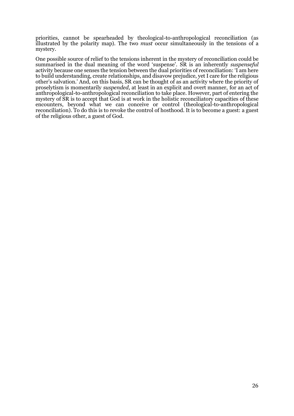priorities, cannot be spearheaded by theological-to-anthropological reconciliation (as illustrated by the polarity map). The two *must* occur simultaneously in the tensions of a mystery.

One possible source of relief to the tensions inherent in the mystery of reconciliation could be summarised in the dual meaning of the word 'suspense'. SR is an inherently *suspenseful*  activity because one senses the tension between the dual priorities of reconciliation: 'I am here to build understanding, create relationships, and disavow prejudice, yet I care for the religious other's salvation.' And, on this basis, SR can be thought of as an activity where the priority of proselytism is momentarily *suspended*, at least in an explicit and overt manner, for an act of anthropological-to-anthropological reconciliation to take place. However, part of entering the mystery of SR is to accept that God is at work in the holistic reconciliatory capacities of these encounters, beyond what we can conceive or control (theological-to-anthropological reconciliation). To do this is to revoke the control of hosthood. It is to become a guest: a guest of the religious other, a guest of God.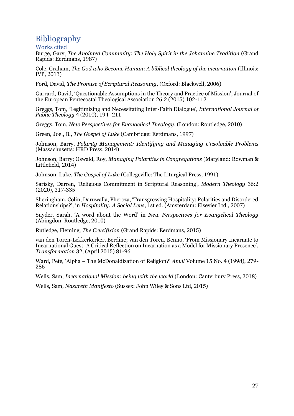# Bibliography

Works cited

Burge, Gary, *The Anointed Community*: *The Holy Spirit in the Johannine Tradition* (Grand Rapids: Eerdmans, 1987)

Cole, Graham, *The God who Become Human*: *A biblical theology of the incarnation* (Illinois: IVP, 2013)

Ford, David, *The Promise of Scriptural Reasoning*, (Oxford: Blackwell, 2006)

Garrard, David, 'Questionable Assumptions in the Theory and Practice of Mission', Journal of the European Pentecostal Theological Association 26:2 (2015) 102-112

Greggs, Tom, 'Legitimizing and Necessitating Inter-Faith Dialogue', *International Journal of Public Theology* 4 (2010), 194–211

Greggs, Tom, *New Perspectives for Evangelical Theology*, (London: Routledge, 2010)

Green, Joel, B., *The Gospel of Luke* (Cambridge: Eerdmans, 1997)

Johnson, Barry, *Polarity Management: Identifying and Managing Unsolvable Problems*  (Massachusetts: HRD Press, 2014)

Johnson, Barry; Oswald, Roy, *Managing Polarities in Congregations* (Maryland: Rowman & Littlefield, 2014)

Johnson, Luke, *The Gospel of Luke* (Collegeville: The Liturgical Press, 1991)

Sarisky, Darren, 'Religious Commitment in Scriptural Reasoning', *Modern Theology* 36:2 (2020), 317-335

Sheringham, Colin; Daruwalla, Pheroza, 'Transgressing Hospitality: Polarities and Disordered Relationships?', in *Hospitality: A Social Lens*, 1st ed. (Amsterdam: Elsevier Ltd., 2007)

Snyder, Sarah, 'A word about the Word' in *New Perspectives for Evangelical Theology* (Abingdon: Routledge, 2010)

Rutledge, Fleming, *The Crucifixion* (Grand Rapids: Eerdmans, 2015)

van den Toren-Lekkerkerker, Berdine; van den Toren, Benno, 'From Missionary Incarnate to Incarnational Guest: A Critical Reflection on Incarnation as a Model for Missionary Presence', *Transformation* 32, (April 2015) 81-96

Ward, Pete, 'Alpha – The McDonaldization of Religion?' *Anvil* Volume 15 No. 4 (1998), 279- 286

Wells, Sam, *Incarnational Mission: being with the world* (London: Canterbury Press, 2018)

Wells, Sam, *Nazareth Manifesto* (Sussex: John Wiley & Sons Ltd, 2015)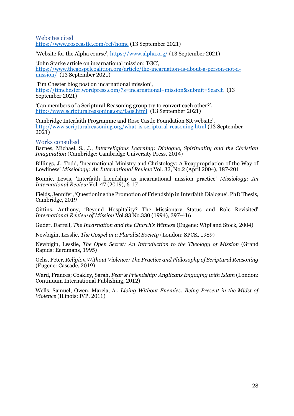Websites cited <https://www.rosecastle.com/rcf/home> (13 September 2021)

'Website for the Alpha course', <https://www.alpha.org/> (13 September 2021)

'John Starke article on incarnational mission: TGC', [https://www.thegospelcoalition.org/article/the-incarnation-is-about-a-person-not-a](https://www.thegospelcoalition.org/article/the-incarnation-is-about-a-person-not-a-mission/)[mission/](https://www.thegospelcoalition.org/article/the-incarnation-is-about-a-person-not-a-mission/) (13 September 2021)

'Tim Chester blog post on incarnational mission', <https://timchester.wordpress.com/?s=incarnational+mission&submit=Search> (13 September 2021)

'Can members of a Scriptural Reasoning group try to convert each other?', <http://www.scripturalreasoning.org/faqs.html> (13 September 2021)

Cambridge Interfaith Programme and Rose Castle Foundation SR website', <http://www.scripturalreasoning.org/what-is-scriptural-reasoning.html> (13 September  $\overline{2021)}$ 

#### Works consulted

Barnes, Michael, S., J., *Interreligious Learning: Dialogue, Spirituality and the Christian Imagination* (Cambridge: Cambridge University Press, 2014)

Billings, J., Todd, 'Incarnational Ministry and Christology: A Reappropriation of the Way of Lowliness' *Missiology: An International Review* Vol. 32, No.2 (April 2004), 187-201

Bonnie, Lewis, 'Interfaith friendship as incarnational mission practice' *Missiology: An International Review* Vol. 47 (2019), 6-17

Fields, Jennifer, 'Questioning the Promotion of Friendship in Interfaith Dialogue', PhD Thesis, Cambridge, 2019

Gittins, Anthony, 'Beyond Hospitality? The Missionary Status and Role Revisited' *International Review of Mission* Vol.83 No.330 (1994), 397-416

Guder, Darrell, *The Incarnation and the Church's Witness* (Eugene: Wipf and Stock, 2004)

Newbigin, Lesslie, *The Gospel in a Pluralist Society* (London: SPCK, 1989)

Newbigin, Lesslie, *The Open Secret: An Introduction to the Theology of Mission* (Grand Rapids: Eerdmans, 1995)

Ochs, Peter, *Religion Without Violence: The Practice and Philosophy of Scriptural Reasoning* (Eugene: Cascade, 2019)

Ward, Frances; Coakley, Sarah, *Fear & Friendship: Anglicans Engaging with Islam* (London: Continuum International Publishing, 2012)

Wells, Samuel; Owen, Marcia, A., *Living Without Enemies: Being Present in the Midst of Violence* (Illinois: IVP, 2011)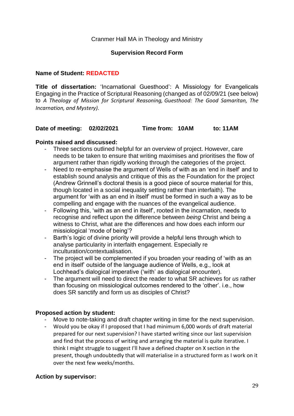# Cranmer Hall MA in Theology and Ministry

# **Supervision Record Form**

# **Name of Student: REDACTED**

**Title of dissertation:** 'Incarnational Guesthood': A Missiology for Evangelicals Engaging in the Practice of Scriptural Reasoning (changed as of 02/09/21 (see below) to *A Theology of Mission for Scriptural Reasoning, Guesthood: The Good Samaritan, The Incarnation, and Mystery).* 

# **Date of meeting: 02/02/2021 Time from: 10AM to: 11AM**

# **Points raised and discussed:**

- Three sections outlined helpful for an overview of project. However, care needs to be taken to ensure that writing maximises and prioritises the flow of argument rather than rigidly working through the categories of the project.
- Need to re-emphasise the argument of Wells of with as an 'end in itself' and to establish sound analysis and critique of this as the Foundation for the project (Andrew Grinnell's doctoral thesis is a good piece of source material for this, though located in a social inequality setting rather than interfaith). The argument for 'with as an end in itself' must be formed in such a way as to be compelling and engage with the nuances of the evangelical audience.
- Following this, 'with as an end in itself', rooted in the incarnation, needs to recognise and reflect upon the difference between *being* Christ and being a witness to Christ, what are the differences and how does each inform our missiological 'mode of being'?
- Barth's logic of divine priority will provide a helpful lens through which to analyse particularity in interfaith engagement. Especially re inculturation/contextualisation.
- The project will be complemented if you broaden your reading of 'with as an end in itself' outside of the language audience of Wells, e.g., look at Lochhead's dialogical imperative ('with' as dialogical encounter).
- The argument will need to direct the reader to what SR achieves for *us* rather than focusing on missiological outcomes rendered to the 'other'. i.e., how does SR sanctify and form us as disciples of Christ?

# **Proposed action by student:**

- Move to note-taking and draft chapter writing in time for the next supervision.
- Would you be okay if I proposed that I had minimum 6,000 words of draft material prepared for our next supervision? I have started writing since our last supervision and find that the process of writing and arranging the material is quite iterative. I think I might struggle to suggest I'll have a defined chapter on X section in the present, though undoubtedly that will materialise in a structured form as I work on it over the next few weeks/months.

# **Action by supervisor:**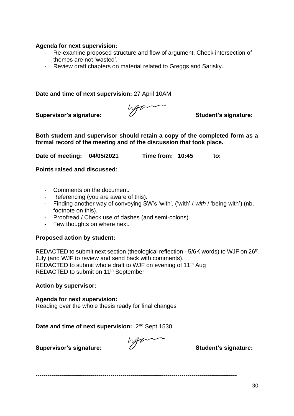# **Agenda for next supervision:**

- Re-examine proposed structure and flow of argument. Check intersection of themes are not 'wasted'.
- Review draft chapters on material related to Greggs and Sarisky.

**Date and time of next supervision:**.27 April 10AM

**Supervisor's signature: Student's signature:**

**Both student and supervisor should retain a copy of the completed form as a formal record of the meeting and of the discussion that took place.** 

**Date of meeting: 04/05/2021 Time from: 10:45 to:** 

**Points raised and discussed:**

- Comments on the document.
- Referencing (you are aware of this).
- Finding another way of conveying SW's 'with'. ('with' / *with* / 'being with') (nb. footnote on this).
- Proofread / Check use of dashes (and semi-colons).
- Few thoughts on where next.

# **Proposed action by student:**

REDACTED to submit next section (theological reflection - 5/6K words) to WJF on 26<sup>th</sup> July (and WJF to review and send back with comments). REDACTED to submit whole draft to WJF on evening of 11<sup>th</sup> Aug REDACTED to submit on 11<sup>th</sup> September

# **Action by supervisor:**

**Agenda for next supervision:** Reading over the whole thesis ready for final changes

**Date and time of next supervision:.** 2<sup>nd</sup> Sept 1530

**Supervisor's signature: Student's signature:**

**------------------------------------------------------------------------------------------------------**